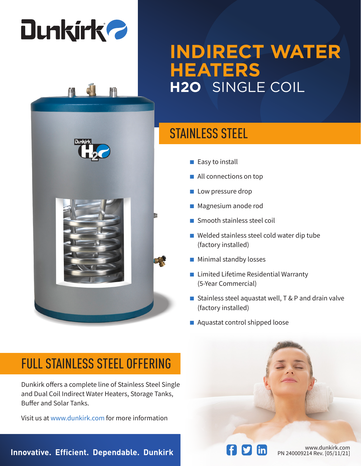# **Dunkirk 2**



#### STAINLESS STEEL

- Easy to install
- All connections on top
- Low pressure drop
- Magnesium anode rod
- Smooth stainless steel coil
- Welded stainless steel cold water dip tube (factory installed)
- Minimal standby losses
- Limited Lifetime Residential Warranty (5-Year Commercial)
- Stainless steel aquastat well, T & P and drain valve (factory installed)
- Aquastat control shipped loose

#### FULL STAINLESS STEEL OFFERING

Dunkirk offers a complete line of Stainless Steel Single and Dual Coil Indirect Water Heaters, Storage Tanks, Buffer and Solar Tanks.

Visit us at www.dunkirk.com for more information

**Innovative. Efficient. Dependable. Dunkirk Physician Communisty Rev. [05/11/21]**